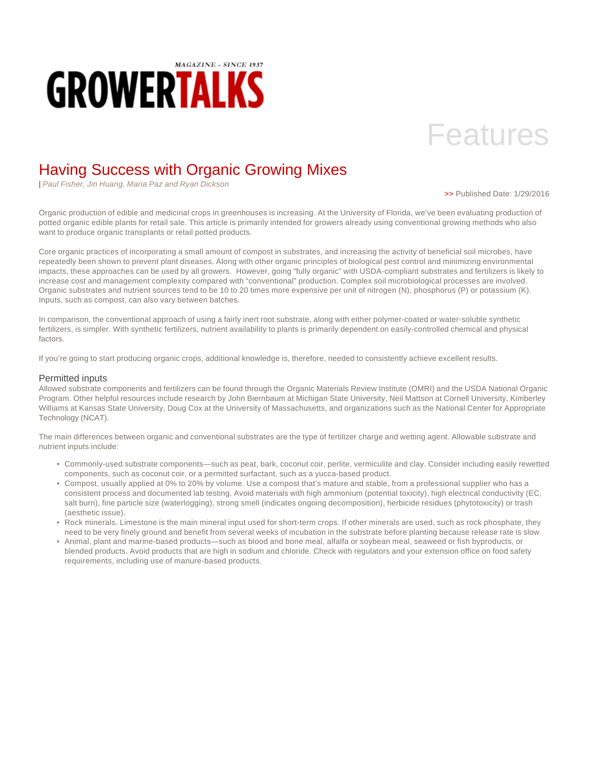

# Features

# Having Success with Organic Growing Mixes

| Paul Fisher, Jin Huang, Maria Paz and Ryan Dickson

>> Published Date: 1/29/2016

Organic production of edible and medicinal crops in greenhouses is increasing. At the University of Florida, we've been evaluating production of potted organic edible plants for retail sale. This article is primarily intended for growers already using conventional growing methods who also want to produce organic transplants or retail potted products.

Core organic practices of incorporating a small amount of compost in substrates, and increasing the activity of beneficial soil microbes, have repeatedly been shown to prevent plant diseases. Along with other organic principles of biological pest control and minimizing environmental impacts, these approaches can be used by all growers. However, going "fully organic" with USDA-compliant substrates and fertilizers is likely to increase cost and management complexity compared with "conventional" production. Complex soil microbiological processes are involved. Organic substrates and nutrient sources tend to be 10 to 20 times more expensive per unit of nitrogen (N), phosphorus (P) or potassium (K). Inputs, such as compost, can also vary between batches.

In comparison, the conventional approach of using a fairly inert root substrate, along with either polymer-coated or water-soluble synthetic fertilizers, is simpler. With synthetic fertilizers, nutrient availability to plants is primarily dependent on easily-controlled chemical and physical factors.

If you're going to start producing organic crops, additional knowledge is, therefore, needed to consistently achieve excellent results.

### Permitted inputs

Allowed substrate components and fertilizers can be found through the Organic Materials Review Institute (OMRI) and the USDA National Organic Program. Other helpful resources include research by John Biernbaum at Michigan State University, Neil Mattson at Cornell University, Kimberley Williams at Kansas State University, Doug Cox at the University of Massachusetts, and organizations such as the National Center for Appropriate Technology (NCAT).

The main differences between organic and conventional substrates are the type of fertilizer charge and wetting agent. Allowable substrate and nutrient inputs include:

- Commonly-used substrate components—such as peat, bark, coconut coir, perlite, vermiculite and clay. Consider including easily rewetted components, such as coconut coir, or a permitted surfactant, such as a yucca-based product.
- Compost, usually applied at 0% to 20% by volume. Use a compost that's mature and stable, from a professional supplier who has a consistent process and documented lab testing. Avoid materials with high ammonium (potential toxicity), high electrical conductivity (EC, salt burn), fine particle size (waterlogging), strong smell (indicates ongoing decomposition), herbicide residues (phytotoxicity) or trash (aesthetic issue).
- Rock minerals. Limestone is the main mineral input used for short-term crops. If other minerals are used, such as rock phosphate, they need to be very finely ground and benefit from several weeks of incubation in the substrate before planting because release rate is slow.
- Animal, plant and marine-based products—such as blood and bone meal, alfalfa or soybean meal, seaweed or fish byproducts, or blended products. Avoid products that are high in sodium and chloride. Check with regulators and your extension office on food safety requirements, including use of manure-based products.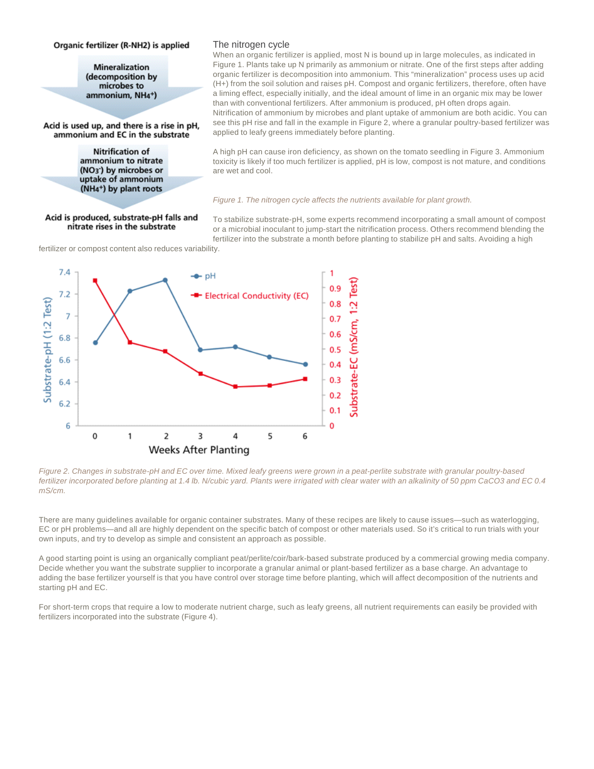#### Organic fertilizer (R-NH2) is applied

**Mineralization** (decomposition by microbes to ammonium, NH<sub>4</sub>+)

Acid is used up, and there is a rise in pH, ammonium and EC in the substrate

> **Nitrification of** ammonium to nitrate (NO<sub>3</sub><sup>-</sup>) by microbes or uptake of ammonium (NH<sub>4</sub>+) by plant roots

#### Acid is produced, substrate-pH falls and nitrate rises in the substrate

#### The nitrogen cycle

When an organic fertilizer is applied, most N is bound up in large molecules, as indicated in Figure 1. Plants take up N primarily as ammonium or nitrate. One of the first steps after adding organic fertilizer is decomposition into ammonium. This "mineralization" process uses up acid (H+) from the soil solution and raises pH. Compost and organic fertilizers, therefore, often have a liming effect, especially initially, and the ideal amount of lime in an organic mix may be lower than with conventional fertilizers. After ammonium is produced, pH often drops again. Nitrification of ammonium by microbes and plant uptake of ammonium are both acidic. You can see this pH rise and fall in the example in Figure 2, where a granular poultry-based fertilizer was applied to leafy greens immediately before planting.

A high pH can cause iron deficiency, as shown on the tomato seedling in Figure 3. Ammonium toxicity is likely if too much fertilizer is applied, pH is low, compost is not mature, and conditions are wet and cool.

#### Figure 1. The nitrogen cycle affects the nutrients available for plant growth.

To stabilize substrate-pH, some experts recommend incorporating a small amount of compost or a microbial inoculant to jump-start the nitrification process. Others recommend blending the fertilizer into the substrate a month before planting to stabilize pH and salts. Avoiding a high

fertilizer or compost content also reduces variability.



Figure 2. Changes in substrate-pH and EC over time. Mixed leafy greens were grown in a peat-perlite substrate with granular poultry-based fertilizer incorporated before planting at 1.4 lb. N/cubic yard. Plants were irrigated with clear water with an alkalinity of 50 ppm CaCO3 and EC 0.4 mS/cm.

There are many guidelines available for organic container substrates. Many of these recipes are likely to cause issues—such as waterlogging, EC or pH problems—and all are highly dependent on the specific batch of compost or other materials used. So it's critical to run trials with your own inputs, and try to develop as simple and consistent an approach as possible.

A good starting point is using an organically compliant peat/perlite/coir/bark-based substrate produced by a commercial growing media company. Decide whether you want the substrate supplier to incorporate a granular animal or plant-based fertilizer as a base charge. An advantage to adding the base fertilizer yourself is that you have control over storage time before planting, which will affect decomposition of the nutrients and starting pH and EC.

For short-term crops that require a low to moderate nutrient charge, such as leafy greens, all nutrient requirements can easily be provided with fertilizers incorporated into the substrate (Figure 4).